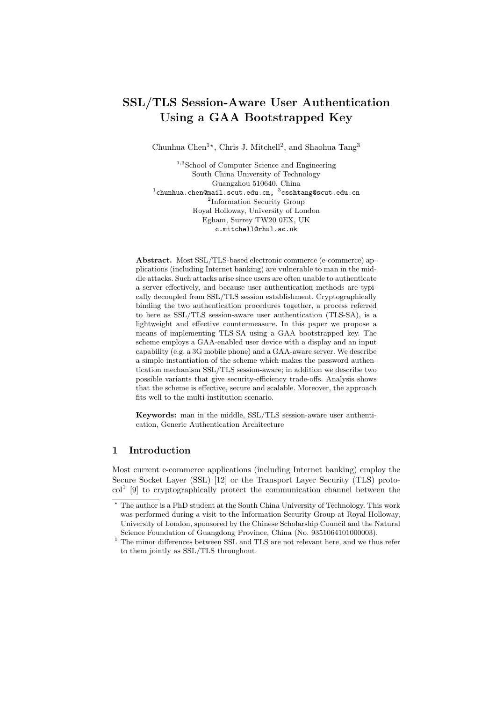# SSL/TLS Session-Aware User Authentication Using a GAA Bootstrapped Key

Chunhua Chen<sup>1\*</sup>, Chris J. Mitchell<sup>2</sup>, and Shaohua Tang<sup>3</sup>

<sup>1</sup>,<sup>3</sup>School of Computer Science and Engineering South China University of Technology Guangzhou 510640, China  $^1$ chunhua.chen@mail.scut.edu.cn,  $^3$ csshtang@scut.edu.cn 2 Information Security Group Royal Holloway, University of London Egham, Surrey TW20 0EX, UK c.mitchell@rhul.ac.uk

Abstract. Most SSL/TLS-based electronic commerce (e-commerce) applications (including Internet banking) are vulnerable to man in the middle attacks. Such attacks arise since users are often unable to authenticate a server effectively, and because user authentication methods are typically decoupled from SSL/TLS session establishment. Cryptographically binding the two authentication procedures together, a process referred to here as SSL/TLS session-aware user authentication (TLS-SA), is a lightweight and effective countermeasure. In this paper we propose a means of implementing TLS-SA using a GAA bootstrapped key. The scheme employs a GAA-enabled user device with a display and an input capability (e.g. a 3G mobile phone) and a GAA-aware server. We describe a simple instantiation of the scheme which makes the password authentication mechanism SSL/TLS session-aware; in addition we describe two possible variants that give security-efficiency trade-offs. Analysis shows that the scheme is effective, secure and scalable. Moreover, the approach fits well to the multi-institution scenario.

Keywords: man in the middle, SSL/TLS session-aware user authentication, Generic Authentication Architecture

## 1 Introduction

Most current e-commerce applications (including Internet banking) employ the Secure Socket Layer (SSL) [12] or the Transport Layer Security (TLS) proto $col<sup>1</sup>$  [9] to cryptographically protect the communication channel between the

<sup>?</sup> The author is a PhD student at the South China University of Technology. This work was performed during a visit to the Information Security Group at Royal Holloway, University of London, sponsored by the Chinese Scholarship Council and the Natural Science Foundation of Guangdong Province, China (No. 9351064101000003).

 $^{\rm 1}$  The minor differences between SSL and TLS are not relevant here, and we thus refer to them jointly as SSL/TLS throughout.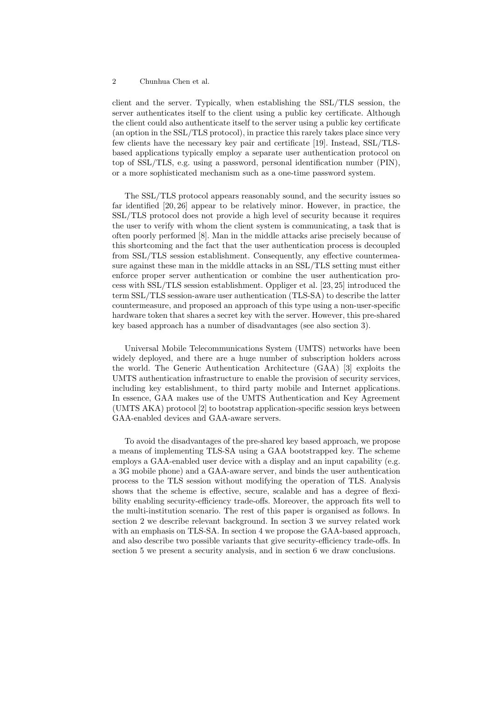client and the server. Typically, when establishing the SSL/TLS session, the server authenticates itself to the client using a public key certificate. Although the client could also authenticate itself to the server using a public key certificate (an option in the SSL/TLS protocol), in practice this rarely takes place since very few clients have the necessary key pair and certificate [19]. Instead, SSL/TLSbased applications typically employ a separate user authentication protocol on top of SSL/TLS, e.g. using a password, personal identification number (PIN), or a more sophisticated mechanism such as a one-time password system.

The SSL/TLS protocol appears reasonably sound, and the security issues so far identified [20, 26] appear to be relatively minor. However, in practice, the SSL/TLS protocol does not provide a high level of security because it requires the user to verify with whom the client system is communicating, a task that is often poorly performed [8]. Man in the middle attacks arise precisely because of this shortcoming and the fact that the user authentication process is decoupled from SSL/TLS session establishment. Consequently, any effective countermeasure against these man in the middle attacks in an SSL/TLS setting must either enforce proper server authentication or combine the user authentication process with SSL/TLS session establishment. Oppliger et al. [23, 25] introduced the term SSL/TLS session-aware user authentication (TLS-SA) to describe the latter countermeasure, and proposed an approach of this type using a non-user-specific hardware token that shares a secret key with the server. However, this pre-shared key based approach has a number of disadvantages (see also section 3).

Universal Mobile Telecommunications System (UMTS) networks have been widely deployed, and there are a huge number of subscription holders across the world. The Generic Authentication Architecture (GAA) [3] exploits the UMTS authentication infrastructure to enable the provision of security services, including key establishment, to third party mobile and Internet applications. In essence, GAA makes use of the UMTS Authentication and Key Agreement (UMTS AKA) protocol [2] to bootstrap application-specific session keys between GAA-enabled devices and GAA-aware servers.

To avoid the disadvantages of the pre-shared key based approach, we propose a means of implementing TLS-SA using a GAA bootstrapped key. The scheme employs a GAA-enabled user device with a display and an input capability (e.g. a 3G mobile phone) and a GAA-aware server, and binds the user authentication process to the TLS session without modifying the operation of TLS. Analysis shows that the scheme is effective, secure, scalable and has a degree of flexibility enabling security-efficiency trade-offs. Moreover, the approach fits well to the multi-institution scenario. The rest of this paper is organised as follows. In section 2 we describe relevant background. In section 3 we survey related work with an emphasis on TLS-SA. In section 4 we propose the GAA-based approach, and also describe two possible variants that give security-efficiency trade-offs. In section 5 we present a security analysis, and in section 6 we draw conclusions.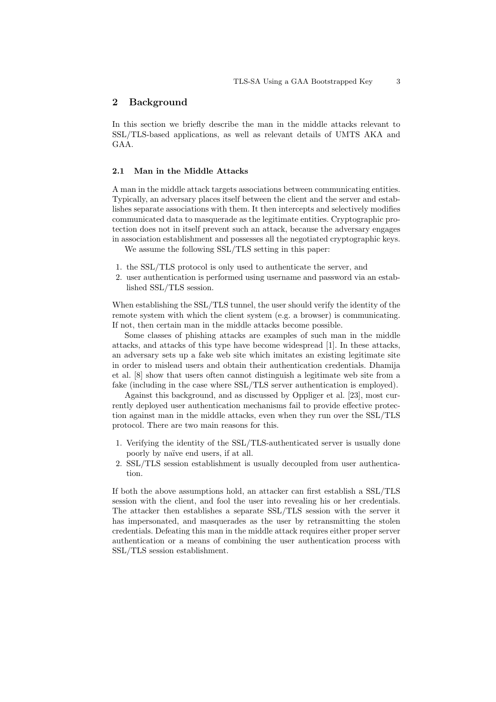## 2 Background

In this section we briefly describe the man in the middle attacks relevant to SSL/TLS-based applications, as well as relevant details of UMTS AKA and  $GAA$ 

## 2.1 Man in the Middle Attacks

A man in the middle attack targets associations between communicating entities. Typically, an adversary places itself between the client and the server and establishes separate associations with them. It then intercepts and selectively modifies communicated data to masquerade as the legitimate entities. Cryptographic protection does not in itself prevent such an attack, because the adversary engages in association establishment and possesses all the negotiated cryptographic keys.

We assume the following SSL/TLS setting in this paper:

- 1. the SSL/TLS protocol is only used to authenticate the server, and
- 2. user authentication is performed using username and password via an established SSL/TLS session.

When establishing the SSL/TLS tunnel, the user should verify the identity of the remote system with which the client system (e.g. a browser) is communicating. If not, then certain man in the middle attacks become possible.

Some classes of phishing attacks are examples of such man in the middle attacks, and attacks of this type have become widespread [1]. In these attacks, an adversary sets up a fake web site which imitates an existing legitimate site in order to mislead users and obtain their authentication credentials. Dhamija et al. [8] show that users often cannot distinguish a legitimate web site from a fake (including in the case where SSL/TLS server authentication is employed).

Against this background, and as discussed by Oppliger et al. [23], most currently deployed user authentication mechanisms fail to provide effective protection against man in the middle attacks, even when they run over the SSL/TLS protocol. There are two main reasons for this.

- 1. Verifying the identity of the SSL/TLS-authenticated server is usually done poorly by na¨ıve end users, if at all.
- 2. SSL/TLS session establishment is usually decoupled from user authentication.

If both the above assumptions hold, an attacker can first establish a SSL/TLS session with the client, and fool the user into revealing his or her credentials. The attacker then establishes a separate SSL/TLS session with the server it has impersonated, and masquerades as the user by retransmitting the stolen credentials. Defeating this man in the middle attack requires either proper server authentication or a means of combining the user authentication process with SSL/TLS session establishment.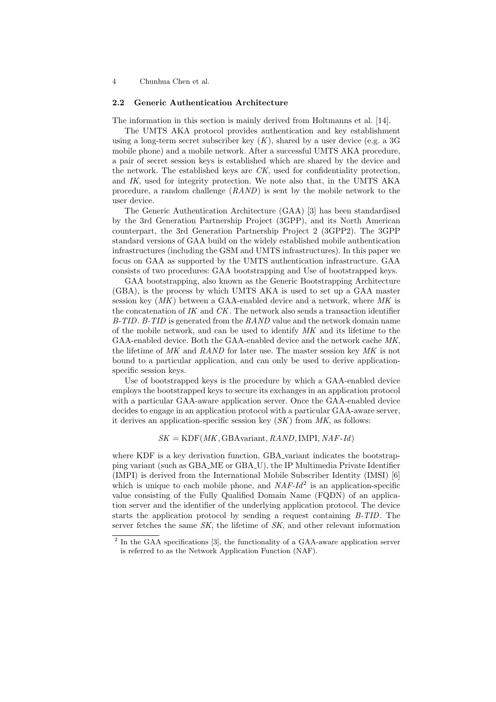#### 2.2 Generic Authentication Architecture

The information in this section is mainly derived from Holtmanns et al. [14].

The UMTS AKA protocol provides authentication and key establishment using a long-term secret subscriber key  $(K)$ , shared by a user device (e.g. a 3G) mobile phone) and a mobile network. After a successful UMTS AKA procedure, a pair of secret session keys is established which are shared by the device and the network. The established keys are  $CK$ , used for confidentiality protection, and IK, used for integrity protection. We note also that, in the UMTS AKA procedure, a random challenge (RAND) is sent by the mobile network to the user device.

The Generic Authentication Architecture (GAA) [3] has been standardised by the 3rd Generation Partnership Project (3GPP), and its North American counterpart, the 3rd Generation Partnership Project 2 (3GPP2). The 3GPP standard versions of GAA build on the widely established mobile authentication infrastructures (including the GSM and UMTS infrastructures). In this paper we focus on GAA as supported by the UMTS authentication infrastructure. GAA consists of two procedures: GAA bootstrapping and Use of bootstrapped keys.

GAA bootstrapping, also known as the Generic Bootstrapping Architecture (GBA), is the process by which UMTS AKA is used to set up a GAA master session key  $(MK)$  between a GAA-enabled device and a network, where MK is the concatenation of  $IK$  and  $CK$ . The network also sends a transaction identifier B-TID. B-TID is generated from the RAND value and the network domain name of the mobile network, and can be used to identify MK and its lifetime to the GAA-enabled device. Both the GAA-enabled device and the network cache MK, the lifetime of MK and RAND for later use. The master session key MK is not bound to a particular application, and can only be used to derive applicationspecific session keys.

Use of bootstrapped keys is the procedure by which a GAA-enabled device employs the bootstrapped keys to secure its exchanges in an application protocol with a particular GAA-aware application server. Once the GAA-enabled device decides to engage in an application protocol with a particular GAA-aware server, it derives an application-specific session key  $(SK)$  from MK, as follows:

 $SK = KDF(MK, GBAvariant, RAND, IMPI, NAF-Id)$ 

where KDF is a key derivation function, GBA variant indicates the bootstrapping variant (such as GBA ME or GBA U), the IP Multimedia Private Identifier (IMPI) is derived from the International Mobile Subscriber Identity (IMSI) [6] which is unique to each mobile phone, and  $NAF-Id^2$  is an application-specific value consisting of the Fully Qualified Domain Name (FQDN) of an application server and the identifier of the underlying application protocol. The device starts the application protocol by sending a request containing B-TID. The server fetches the same  $SK$ , the lifetime of  $SK$ , and other relevant information

<sup>&</sup>lt;sup>2</sup> In the GAA specifications [3], the functionality of a GAA-aware application server is referred to as the Network Application Function (NAF).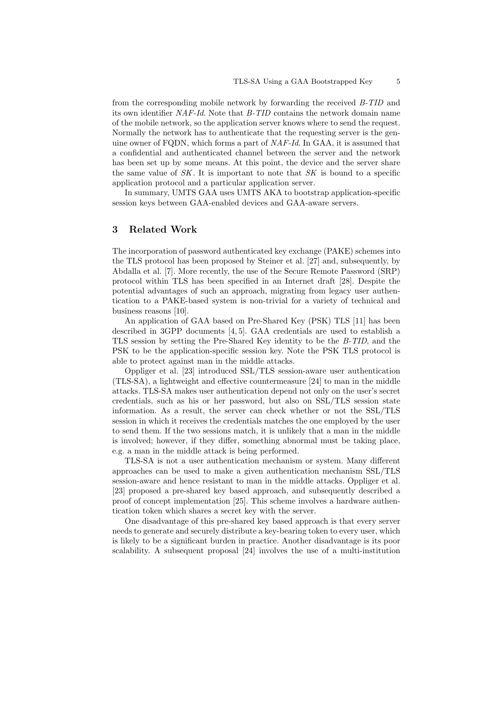from the corresponding mobile network by forwarding the received B-TID and its own identifier NAF-Id. Note that B-TID contains the network domain name of the mobile network, so the application server knows where to send the request. Normally the network has to authenticate that the requesting server is the genuine owner of FQDN, which forms a part of  $NAF-Id$ . In GAA, it is assumed that a confidential and authenticated channel between the server and the network has been set up by some means. At this point, the device and the server share the same value of  $SK$ . It is important to note that  $SK$  is bound to a specific application protocol and a particular application server.

In summary, UMTS GAA uses UMTS AKA to bootstrap application-specific session keys between GAA-enabled devices and GAA-aware servers.

## 3 Related Work

The incorporation of password authenticated key exchange (PAKE) schemes into the TLS protocol has been proposed by Steiner et al. [27] and, subsequently, by Abdalla et al. [7]. More recently, the use of the Secure Remote Password (SRP) protocol within TLS has been specified in an Internet draft [28]. Despite the potential advantages of such an approach, migrating from legacy user authentication to a PAKE-based system is non-trivial for a variety of technical and business reasons [10].

An application of GAA based on Pre-Shared Key (PSK) TLS [11] has been described in 3GPP documents [4, 5]. GAA credentials are used to establish a TLS session by setting the Pre-Shared Key identity to be the B-TID, and the PSK to be the application-specific session key. Note the PSK TLS protocol is able to protect against man in the middle attacks.

Oppliger et al. [23] introduced SSL/TLS session-aware user authentication (TLS-SA), a lightweight and effective countermeasure [24] to man in the middle attacks. TLS-SA makes user authentication depend not only on the user's secret credentials, such as his or her password, but also on SSL/TLS session state information. As a result, the server can check whether or not the SSL/TLS session in which it receives the credentials matches the one employed by the user to send them. If the two sessions match, it is unlikely that a man in the middle is involved; however, if they differ, something abnormal must be taking place, e.g. a man in the middle attack is being performed.

TLS-SA is not a user authentication mechanism or system. Many different approaches can be used to make a given authentication mechanism SSL/TLS session-aware and hence resistant to man in the middle attacks. Oppliger et al. [23] proposed a pre-shared key based approach, and subsequently described a proof of concept implementation [25]. This scheme involves a hardware authentication token which shares a secret key with the server.

One disadvantage of this pre-shared key based approach is that every server needs to generate and securely distribute a key-bearing token to every user, which is likely to be a significant burden in practice. Another disadvantage is its poor scalability. A subsequent proposal [24] involves the use of a multi-institution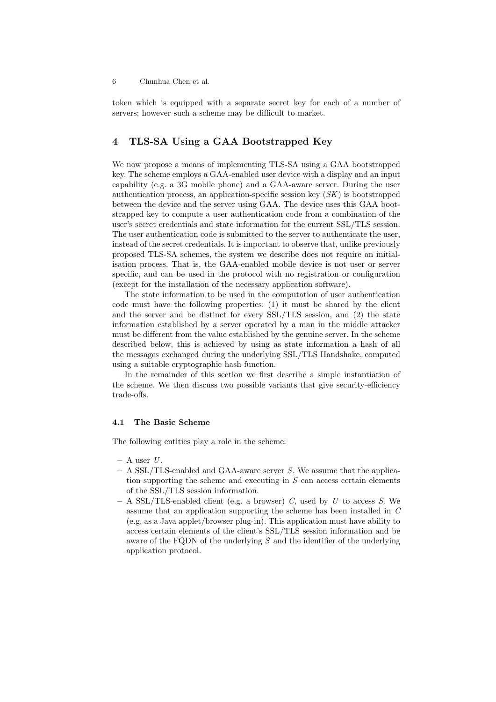token which is equipped with a separate secret key for each of a number of servers; however such a scheme may be difficult to market.

# 4 TLS-SA Using a GAA Bootstrapped Key

We now propose a means of implementing TLS-SA using a GAA bootstrapped key. The scheme employs a GAA-enabled user device with a display and an input capability (e.g. a 3G mobile phone) and a GAA-aware server. During the user authentication process, an application-specific session key  $(SK)$  is bootstrapped between the device and the server using GAA. The device uses this GAA bootstrapped key to compute a user authentication code from a combination of the user's secret credentials and state information for the current SSL/TLS session. The user authentication code is submitted to the server to authenticate the user, instead of the secret credentials. It is important to observe that, unlike previously proposed TLS-SA schemes, the system we describe does not require an initialisation process. That is, the GAA-enabled mobile device is not user or server specific, and can be used in the protocol with no registration or configuration (except for the installation of the necessary application software).

The state information to be used in the computation of user authentication code must have the following properties: (1) it must be shared by the client and the server and be distinct for every SSL/TLS session, and (2) the state information established by a server operated by a man in the middle attacker must be different from the value established by the genuine server. In the scheme described below, this is achieved by using as state information a hash of all the messages exchanged during the underlying SSL/TLS Handshake, computed using a suitable cryptographic hash function.

In the remainder of this section we first describe a simple instantiation of the scheme. We then discuss two possible variants that give security-efficiency trade-offs.

### 4.1 The Basic Scheme

The following entities play a role in the scheme:

- $-$  A user  $U$ .
- $-$  A SSL/TLS-enabled and GAA-aware server S. We assume that the application supporting the scheme and executing in  $S$  can access certain elements of the SSL/TLS session information.
- $-$  A SSL/TLS-enabled client (e.g. a browser) C, used by U to access S. We assume that an application supporting the scheme has been installed in C (e.g. as a Java applet/browser plug-in). This application must have ability to access certain elements of the client's SSL/TLS session information and be aware of the FQDN of the underlying  $S$  and the identifier of the underlying application protocol.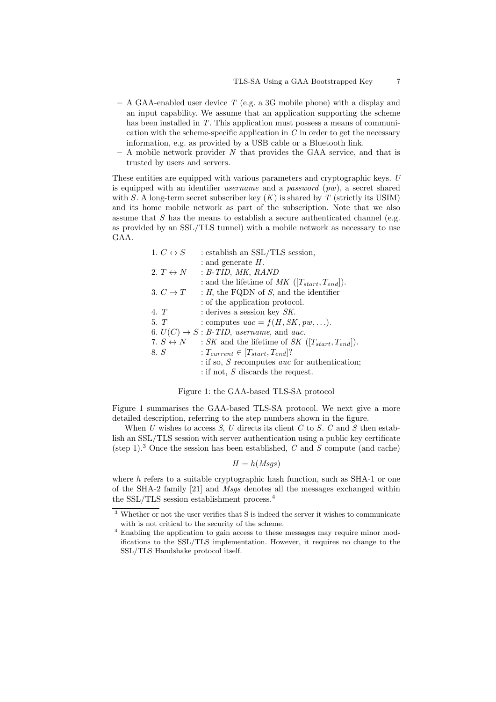- $-$  A GAA-enabled user device T (e.g. a 3G mobile phone) with a display and an input capability. We assume that an application supporting the scheme has been installed in T. This application must possess a means of communication with the scheme-specific application in  $C$  in order to get the necessary information, e.g. as provided by a USB cable or a Bluetooth link.
- $-$  A mobile network provider N that provides the GAA service, and that is trusted by users and servers.

These entities are equipped with various parameters and cryptographic keys. U is equipped with an identifier username and a password (pw), a secret shared with S. A long-term secret subscriber key  $(K)$  is shared by T (strictly its USIM) and its home mobile network as part of the subscription. Note that we also assume that  $S$  has the means to establish a secure authenticated channel (e.g. as provided by an SSL/TLS tunnel) with a mobile network as necessary to use GAA.

| 1. $C \leftrightarrow S$ | : establish an SSL/TLS session,                        |
|--------------------------|--------------------------------------------------------|
|                          | : and generate $H$ .                                   |
| 2. $T \leftrightarrow N$ | $: B\text{-}TID, MK, RAND$                             |
|                          | : and the lifetime of MK $([T_{start}, T_{end}])$ .    |
| 3. $C \rightarrow T$     | $:H$ , the FQDN of $S$ , and the identifier            |
|                          | : of the application protocol.                         |
| 4. T                     | : derives a session key $SK$ .                         |
| 5. T                     | : computes $uac = f(H, SK, pw, \ldots)$ .              |
|                          | 6. $U(C) \rightarrow S$ : B-TID, username, and auc.    |
| 7. $S \leftrightarrow N$ | : SK and the lifetime of SK $([T_{start}, T_{end}])$ . |
| 8. S                     | : $T_{current} \in [T_{start}, T_{end}]$ ?             |
|                          | : if so, $S$ recomputes <i>auc</i> for authentication; |
|                          | : if not, $S$ discards the request.                    |
|                          |                                                        |

Figure 1: the GAA-based TLS-SA protocol

Figure 1 summarises the GAA-based TLS-SA protocol. We next give a more detailed description, referring to the step numbers shown in the figure.

When U wishes to access S, U directs its client C to S, C and S then establish an SSL/TLS session with server authentication using a public key certificate (step 1).<sup>3</sup> Once the session has been established, C and S compute (and cache)

$$
H = h(Msgs)
$$

where  $h$  refers to a suitable cryptographic hash function, such as SHA-1 or one of the SHA-2 family [21] and Msgs denotes all the messages exchanged within the SSL/TLS session establishment process.<sup>4</sup>

 $^3$  Whether or not the user verifies that S is indeed the server it wishes to communicate with is not critical to the security of the scheme.

<sup>4</sup> Enabling the application to gain access to these messages may require minor modifications to the SSL/TLS implementation. However, it requires no change to the SSL/TLS Handshake protocol itself.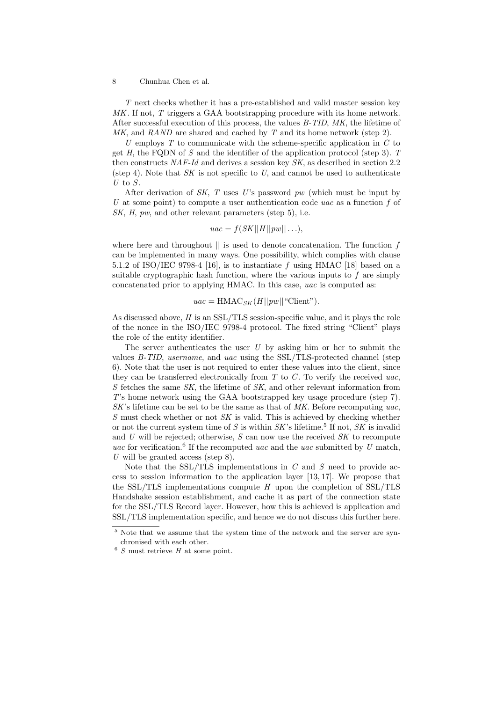T next checks whether it has a pre-established and valid master session key MK. If not, T triggers a GAA bootstrapping procedure with its home network. After successful execution of this process, the values B-TID, MK, the lifetime of MK, and RAND are shared and cached by  $T$  and its home network (step 2).

U employs  $T$  to communicate with the scheme-specific application in  $C$  to get  $H$ , the FQDN of  $S$  and the identifier of the application protocol (step 3).  $T$ then constructs NAF-Id and derives a session key SK, as described in section 2.2 (step 4). Note that  $SK$  is not specific to U, and cannot be used to authenticate U to  $S$ .

After derivation of  $SK$ , T uses U's password pw (which must be input by U at some point) to compute a user authentication code uac as a function  $f$  of SK, H, pw, and other relevant parameters (step 5), i.e.

$$
uac = f(SK||H||pw||\ldots),
$$

where here and throughout  $\parallel$  is used to denote concatenation. The function  $f$ can be implemented in many ways. One possibility, which complies with clause 5.1.2 of ISO/IEC 9798-4 [16], is to instantiate f using HMAC [18] based on a suitable cryptographic hash function, where the various inputs to  $f$  are simply concatenated prior to applying HMAC. In this case, uac is computed as:

$$
uac = \text{HMAC}_{SK}(H||pw||\text{``Client''}).
$$

As discussed above,  $H$  is an SSL/TLS session-specific value, and it plays the role of the nonce in the ISO/IEC 9798-4 protocol. The fixed string "Client" plays the role of the entity identifier.

The server authenticates the user  $U$  by asking him or her to submit the values B-TID, username, and uac using the SSL/TLS-protected channel (step 6). Note that the user is not required to enter these values into the client, since they can be transferred electronically from  $T$  to  $C$ . To verify the received uac,  $S$  fetches the same  $SK$ , the lifetime of  $SK$ , and other relevant information from T's home network using the GAA bootstrapped key usage procedure (step 7).  $SK$ 's lifetime can be set to be the same as that of MK. Before recomputing uac,  $S$  must check whether or not  $SK$  is valid. This is achieved by checking whether or not the current system time of S is within  $SK$ 's lifetime.<sup>5</sup> If not,  $SK$  is invalid and U will be rejected; otherwise,  $S$  can now use the received  $SK$  to recompute uac for verification.<sup>6</sup> If the recomputed uac and the uac submitted by U match, U will be granted access (step  $8$ ).

Note that the  $\text{SSL}/\text{TLS}$  implementations in C and S need to provide access to session information to the application layer [13, 17]. We propose that the  $SSL/TLS$  implementations compute H upon the completion of  $SSL/TLS$ Handshake session establishment, and cache it as part of the connection state for the SSL/TLS Record layer. However, how this is achieved is application and SSL/TLS implementation specific, and hence we do not discuss this further here.

 $^5$  Note that we assume that the system time of the network and the server are synchronised with each other.

 $^6$   $S$  must retrieve  $H$  at some point.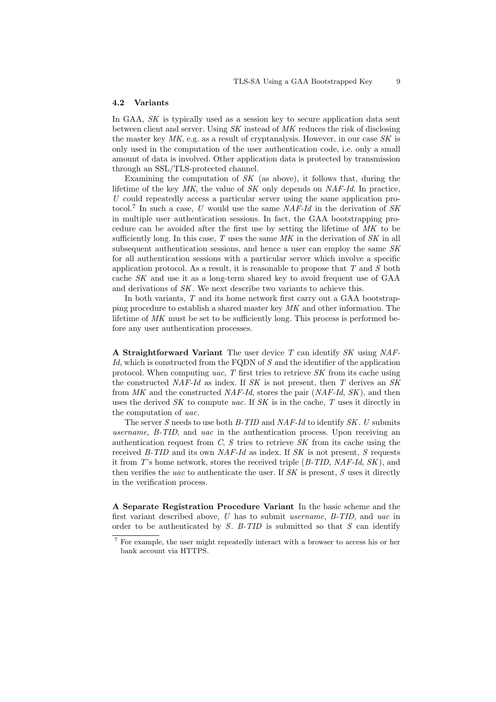#### 4.2 Variants

In GAA, SK is typically used as a session key to secure application data sent between client and server. Using SK instead of MK reduces the risk of disclosing the master key  $MK$ , e.g. as a result of cryptanalysis. However, in our case  $SK$  is only used in the computation of the user authentication code, i.e. only a small amount of data is involved. Other application data is protected by transmission through an SSL/TLS-protected channel.

Examining the computation of  $SK$  (as above), it follows that, during the lifetime of the key  $MK$ , the value of  $SK$  only depends on  $NAF-Id$ . In practice, U could repeatedly access a particular server using the same application protocol.<sup>7</sup> In such a case, U would use the same NAF-Id in the derivation of SK in multiple user authentication sessions. In fact, the GAA bootstrapping procedure can be avoided after the first use by setting the lifetime of MK to be sufficiently long. In this case,  $T$  uses the same  $MK$  in the derivation of  $SK$  in all subsequent authentication sessions, and hence a user can employ the same  $SK$ for all authentication sessions with a particular server which involve a specific application protocol. As a result, it is reasonable to propose that  $T$  and  $S$  both cache SK and use it as a long-term shared key to avoid frequent use of GAA and derivations of SK. We next describe two variants to achieve this.

In both variants, T and its home network first carry out a GAA bootstrapping procedure to establish a shared master key  $MK$  and other information. The lifetime of MK must be set to be sufficiently long. This process is performed before any user authentication processes.

A Straightforward Variant The user device  $T$  can identify  $SK$  using  $NAF$ Id, which is constructed from the FQDN of S and the identifier of the application protocol. When computing uac,  $T$  first tries to retrieve  $SK$  from its cache using the constructed NAF-Id as index. If SK is not present, then  $T$  derives an SK from MK and the constructed NAF-Id, stores the pair  $(NAF-Id, SK)$ , and then uses the derived  $SK$  to compute uac. If  $SK$  is in the cache,  $T$  uses it directly in the computation of uac.

The server  $S$  needs to use both  $B$ -TID and NAF-Id to identify  $SK.$  U submits username, B-TID, and uac in the authentication process. Upon receiving an authentication request from  $C, S$  tries to retrieve SK from its cache using the received  $B$ -TID and its own NAF-Id as index. If SK is not present, S requests it from T's home network, stores the received triple  $(B-TID, NAF-Id, SK)$ , and then verifies the uac to authenticate the user. If  $SK$  is present, S uses it directly in the verification process.

A Separate Registration Procedure Variant In the basic scheme and the first variant described above, U has to submit username, B-TID, and uac in order to be authenticated by  $S$ .  $B$ -TID is submitted so that  $S$  can identify

<sup>7</sup> For example, the user might repeatedly interact with a browser to access his or her bank account via HTTPS.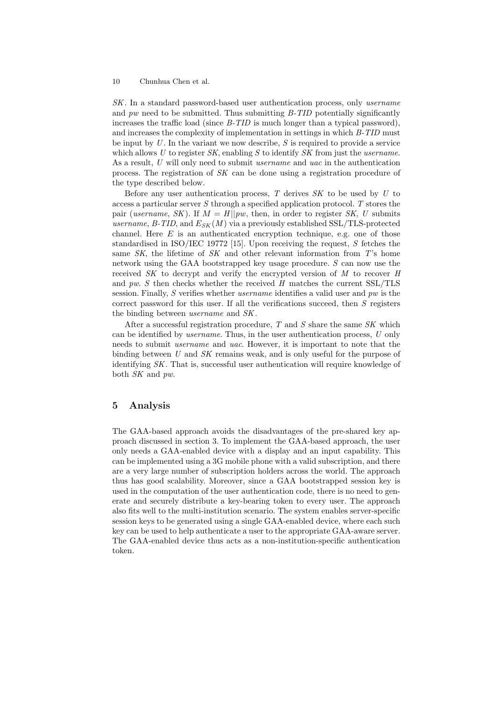SK. In a standard password-based user authentication process, only username and  $pw$  need to be submitted. Thus submitting  $B$ -TID potentially significantly increases the traffic load (since B-TID is much longer than a typical password), and increases the complexity of implementation in settings in which B-TID must be input by  $U$ . In the variant we now describe,  $S$  is required to provide a service which allows U to register  $SK$ , enabling S to identify  $SK$  from just the *username*. As a result, U will only need to submit username and uac in the authentication process. The registration of SK can be done using a registration procedure of the type described below.

Before any user authentication process,  $T$  derives  $SK$  to be used by  $U$  to access a particular server  $S$  through a specified application protocol.  $T$  stores the pair (*username*, SK). If  $M = H||pw$ , then, in order to register SK, U submits username, B-TID, and  $E_{SK}(M)$  via a previously established SSL/TLS-protected channel. Here  $E$  is an authenticated encryption technique, e.g. one of those standardised in ISO/IEC 19772 [15]. Upon receiving the request, S fetches the same SK, the lifetime of SK and other relevant information from T's home network using the GAA bootstrapped key usage procedure. S can now use the received  $SK$  to decrypt and verify the encrypted version of M to recover H and pw. S then checks whether the received  $H$  matches the current SSL/TLS session. Finally, S verifies whether *username* identifies a valid user and  $pw$  is the correct password for this user. If all the verifications succeed, then S registers the binding between username and SK.

After a successful registration procedure,  $T$  and  $S$  share the same  $SK$  which can be identified by username. Thus, in the user authentication process, U only needs to submit username and uac. However, it is important to note that the binding between  $U$  and  $SK$  remains weak, and is only useful for the purpose of identifying SK. That is, successful user authentication will require knowledge of both SK and pw.

## 5 Analysis

The GAA-based approach avoids the disadvantages of the pre-shared key approach discussed in section 3. To implement the GAA-based approach, the user only needs a GAA-enabled device with a display and an input capability. This can be implemented using a 3G mobile phone with a valid subscription, and there are a very large number of subscription holders across the world. The approach thus has good scalability. Moreover, since a GAA bootstrapped session key is used in the computation of the user authentication code, there is no need to generate and securely distribute a key-bearing token to every user. The approach also fits well to the multi-institution scenario. The system enables server-specific session keys to be generated using a single GAA-enabled device, where each such key can be used to help authenticate a user to the appropriate GAA-aware server. The GAA-enabled device thus acts as a non-institution-specific authentication token.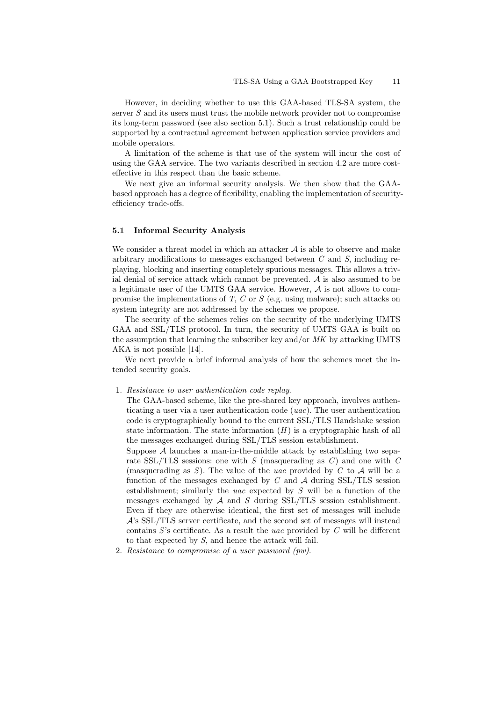However, in deciding whether to use this GAA-based TLS-SA system, the server S and its users must trust the mobile network provider not to compromise its long-term password (see also section 5.1). Such a trust relationship could be supported by a contractual agreement between application service providers and mobile operators.

A limitation of the scheme is that use of the system will incur the cost of using the GAA service. The two variants described in section 4.2 are more costeffective in this respect than the basic scheme.

We next give an informal security analysis. We then show that the GAAbased approach has a degree of flexibility, enabling the implementation of securityefficiency trade-offs.

#### 5.1 Informal Security Analysis

We consider a threat model in which an attacker  $A$  is able to observe and make arbitrary modifications to messages exchanged between  $C$  and  $S$ , including replaying, blocking and inserting completely spurious messages. This allows a trivial denial of service attack which cannot be prevented.  $A$  is also assumed to be a legitimate user of the UMTS GAA service. However,  $A$  is not allows to compromise the implementations of T, C or S (e.g. using malware); such attacks on system integrity are not addressed by the schemes we propose.

The security of the schemes relies on the security of the underlying UMTS GAA and SSL/TLS protocol. In turn, the security of UMTS GAA is built on the assumption that learning the subscriber key and/or  $MK$  by attacking UMTS AKA is not possible [14].

We next provide a brief informal analysis of how the schemes meet the intended security goals.

#### 1. Resistance to user authentication code replay.

The GAA-based scheme, like the pre-shared key approach, involves authenticating a user via a user authentication code (uac). The user authentication code is cryptographically bound to the current SSL/TLS Handshake session state information. The state information  $(H)$  is a cryptographic hash of all the messages exchanged during SSL/TLS session establishment.

Suppose A launches a man-in-the-middle attack by establishing two separate SSL/TLS sessions: one with S (masquerading as  $C$ ) and one with C (masquerading as S). The value of the *uac* provided by C to A will be a function of the messages exchanged by  $C$  and  $A$  during SSL/TLS session establishment; similarly the *uac* expected by  $S$  will be a function of the messages exchanged by  $\mathcal A$  and  $S$  during SSL/TLS session establishment. Even if they are otherwise identical, the first set of messages will include A's SSL/TLS server certificate, and the second set of messages will instead contains  $S$ 's certificate. As a result the *uac* provided by  $C$  will be different to that expected by S, and hence the attack will fail.

2. Resistance to compromise of a user password (pw).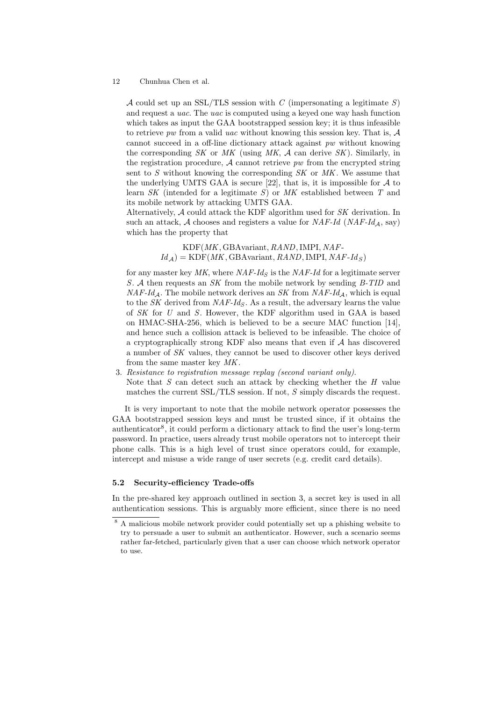A could set up an SSL/TLS session with C (impersonating a legitimate S) and request a uac. The uac is computed using a keyed one way hash function which takes as input the GAA bootstrapped session key; it is thus infeasible to retrieve pw from a valid uac without knowing this session key. That is,  $A$ cannot succeed in a off-line dictionary attack against pw without knowing the corresponding  $SK$  or MK (using MK,  $A$  can derive  $SK$ ). Similarly, in the registration procedure,  $A$  cannot retrieve pw from the encrypted string sent to S without knowing the corresponding  $SK$  or  $MK$ . We assume that the underlying UMTS GAA is secure [22], that is, it is impossible for  $A$  to learn  $SK$  (intended for a legitimate  $S$ ) or  $MK$  established between  $T$  and its mobile network by attacking UMTS GAA.

Alternatively, A could attack the KDF algorithm used for SK derivation. In such an attack, A chooses and registers a value for  $NAF-Id$  ( $NAF-Id<sub>A</sub>$ , say) which has the property that

```
KDF(MK, GBAvariant, RAND,IMPI, NAF-
Id_A) = KDF(MK, GBAvariant, RAND, IMPI, NAF-Id<sub>S</sub>)
```
for any master key MK, where  $NAF-Id_S$  is the  $NAF-Id$  for a legitimate server S. A then requests an SK from the mobile network by sending B-TID and  $NAF-Id_A$ . The mobile network derives an SK from  $NAF-Id_A$ , which is equal to the  $SK$  derived from  $NAF-Id_S$ . As a result, the adversary learns the value of SK for U and S. However, the KDF algorithm used in GAA is based on HMAC-SHA-256, which is believed to be a secure MAC function [14], and hence such a collision attack is believed to be infeasible. The choice of a cryptographically strong KDF also means that even if A has discovered a number of SK values, they cannot be used to discover other keys derived from the same master key MK.

3. Resistance to registration message replay (second variant only). Note that  $S$  can detect such an attack by checking whether the  $H$  value matches the current SSL/TLS session. If not, S simply discards the request.

It is very important to note that the mobile network operator possesses the GAA bootstrapped session keys and must be trusted since, if it obtains the authenticator<sup>8</sup>, it could perform a dictionary attack to find the user's long-term password. In practice, users already trust mobile operators not to intercept their phone calls. This is a high level of trust since operators could, for example, intercept and misuse a wide range of user secrets (e.g. credit card details).

#### 5.2 Security-efficiency Trade-offs

In the pre-shared key approach outlined in section 3, a secret key is used in all authentication sessions. This is arguably more efficient, since there is no need

<sup>8</sup> A malicious mobile network provider could potentially set up a phishing website to try to persuade a user to submit an authenticator. However, such a scenario seems rather far-fetched, particularly given that a user can choose which network operator to use.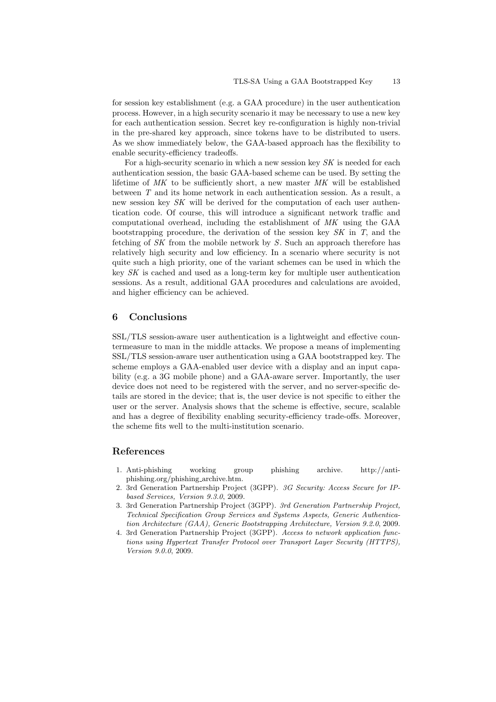for session key establishment (e.g. a GAA procedure) in the user authentication process. However, in a high security scenario it may be necessary to use a new key for each authentication session. Secret key re-configuration is highly non-trivial in the pre-shared key approach, since tokens have to be distributed to users. As we show immediately below, the GAA-based approach has the flexibility to enable security-efficiency tradeoffs.

For a high-security scenario in which a new session key  $SK$  is needed for each authentication session, the basic GAA-based scheme can be used. By setting the lifetime of  $MK$  to be sufficiently short, a new master  $MK$  will be established between T and its home network in each authentication session. As a result, a new session key SK will be derived for the computation of each user authentication code. Of course, this will introduce a significant network traffic and computational overhead, including the establishment of MK using the GAA bootstrapping procedure, the derivation of the session key  $SK$  in  $T$ , and the fetching of  $SK$  from the mobile network by  $S$ . Such an approach therefore has relatively high security and low efficiency. In a scenario where security is not quite such a high priority, one of the variant schemes can be used in which the key SK is cached and used as a long-term key for multiple user authentication sessions. As a result, additional GAA procedures and calculations are avoided, and higher efficiency can be achieved.

## 6 Conclusions

SSL/TLS session-aware user authentication is a lightweight and effective countermeasure to man in the middle attacks. We propose a means of implementing SSL/TLS session-aware user authentication using a GAA bootstrapped key. The scheme employs a GAA-enabled user device with a display and an input capability (e.g. a 3G mobile phone) and a GAA-aware server. Importantly, the user device does not need to be registered with the server, and no server-specific details are stored in the device; that is, the user device is not specific to either the user or the server. Analysis shows that the scheme is effective, secure, scalable and has a degree of flexibility enabling security-efficiency trade-offs. Moreover, the scheme fits well to the multi-institution scenario.

## References

- 1. Anti-phishing working group phishing archive. http://antiphishing.org/phishing archive.htm.
- 2. 3rd Generation Partnership Project (3GPP). 3G Security: Access Secure for IPbased Services, Version 9.3.0, 2009.
- 3. 3rd Generation Partnership Project (3GPP). 3rd Generation Partnership Project, Technical Specification Group Services and Systems Aspects, Generic Authentication Architecture (GAA), Generic Bootstrapping Architecture, Version 9.2.0, 2009.
- 4. 3rd Generation Partnership Project (3GPP). Access to network application functions using Hypertext Transfer Protocol over Transport Layer Security (HTTPS), Version 9.0.0, 2009.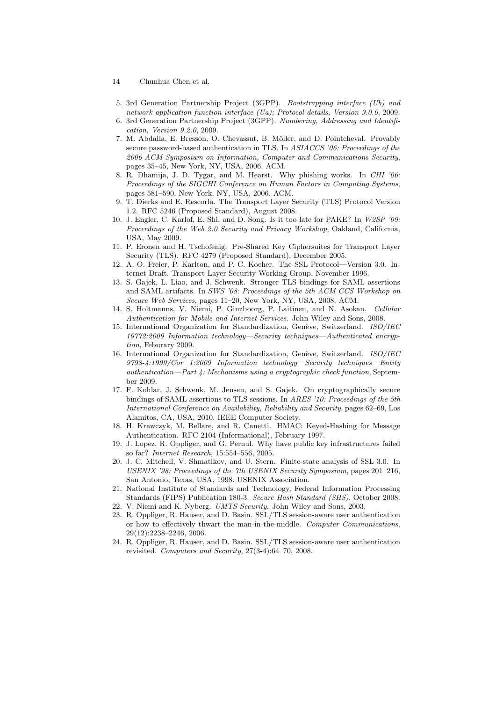- 14 Chunhua Chen et al.
- 5. 3rd Generation Partnership Project (3GPP). Bootstrapping interface (Ub) and network application function interface (Ua); Protocol details, Version 9.0.0, 2009.
- 6. 3rd Generation Partnership Project (3GPP). Numbering, Addressing and Identification, Version 9.2.0, 2009.
- 7. M. Abdalla, E. Bresson, O. Chevassut, B. Möller, and D. Pointcheval. Provably secure password-based authentication in TLS. In ASIACCS '06: Proceedings of the 2006 ACM Symposium on Information, Computer and Communications Security, pages 35–45, New York, NY, USA, 2006. ACM.
- 8. R. Dhamija, J. D. Tygar, and M. Hearst. Why phishing works. In CHI '06: Proceedings of the SIGCHI Conference on Human Factors in Computing Systems, pages 581–590, New York, NY, USA, 2006. ACM.
- 9. T. Dierks and E. Rescorla. The Transport Layer Security (TLS) Protocol Version 1.2. RFC 5246 (Proposed Standard), August 2008.
- 10. J. Engler, C. Karlof, E. Shi, and D. Song. Is it too late for PAKE? In W2SP '09: Proceedings of the Web 2.0 Security and Privacy Workshop, Oakland, California, USA, May 2009.
- 11. P. Eronen and H. Tschofenig. Pre-Shared Key Ciphersuites for Transport Layer Security (TLS). RFC 4279 (Proposed Standard), December 2005.
- 12. A. O. Freier, P. Karlton, and P. C. Kocher. The SSL Protocol—Version 3.0. Internet Draft, Transport Layer Security Working Group, November 1996.
- 13. S. Gajek, L. Liao, and J. Schwenk. Stronger TLS bindings for SAML assertions and SAML artifacts. In SWS '08: Proceedings of the 5th ACM CCS Workshop on Secure Web Services, pages 11–20, New York, NY, USA, 2008. ACM.
- 14. S. Holtmanns, V. Niemi, P. Ginzboorg, P. Laitinen, and N. Asokan. Cellular Authentication for Mobile and Internet Services. John Wiley and Sons, 2008.
- 15. International Organization for Standardization, Genève, Switzerland. ISO/IEC 19772:2009 Information technology—Security techniques—Authenticated encryption, Feburary 2009.
- 16. International Organization for Standardization, Genève, Switzerland. ISO/IEC 9798-4:1999/Cor 1:2009 Information technology—Security techniques—Entity authentication—Part 4: Mechanisms using a cryptographic check function, September 2009.
- 17. F. Kohlar, J. Schwenk, M. Jensen, and S. Gajek. On cryptographically secure bindings of SAML assertions to TLS sessions. In ARES '10: Proceedings of the 5th International Conference on Availability, Reliability and Security, pages 62–69, Los Alamitos, CA, USA, 2010. IEEE Computer Society.
- 18. H. Krawczyk, M. Bellare, and R. Canetti. HMAC: Keyed-Hashing for Message Authentication. RFC 2104 (Informational), February 1997.
- 19. J. Lopez, R. Oppliger, and G. Pernul. Why have public key infrastructures failed so far? Internet Research, 15:554–556, 2005.
- 20. J. C. Mitchell, V. Shmatikov, and U. Stern. Finite-state analysis of SSL 3.0. In USENIX '98: Proceedings of the 7th USENIX Security Symposium, pages 201–216, San Antonio, Texas, USA, 1998. USENIX Association.
- 21. National Institute of Standards and Technology, Federal Information Processing Standards (FIPS) Publication 180-3. Secure Hash Standard (SHS), October 2008.
- 22. V. Niemi and K. Nyberg. UMTS Security. John Wiley and Sons, 2003.
- 23. R. Oppliger, R. Hauser, and D. Basin. SSL/TLS session-aware user authentication or how to effectively thwart the man-in-the-middle. Computer Communications, 29(12):2238–2246, 2006.
- 24. R. Oppliger, R. Hauser, and D. Basin. SSL/TLS session-aware user authentication revisited. Computers and Security, 27(3-4):64–70, 2008.